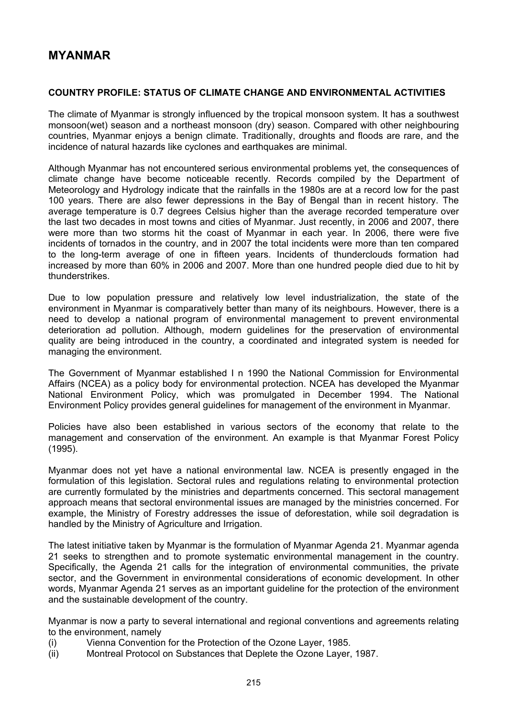# **MYANMAR**

## **COUNTRY PROFILE: STATUS OF CLIMATE CHANGE AND ENVIRONMENTAL ACTIVITIES**

The climate of Myanmar is strongly influenced by the tropical monsoon system. It has a southwest monsoon(wet) season and a northeast monsoon (dry) season. Compared with other neighbouring countries, Myanmar enjoys a benign climate. Traditionally, droughts and floods are rare, and the incidence of natural hazards like cyclones and earthquakes are minimal.

Although Myanmar has not encountered serious environmental problems yet, the consequences of climate change have become noticeable recently. Records compiled by the Department of Meteorology and Hydrology indicate that the rainfalls in the 1980s are at a record low for the past 100 years. There are also fewer depressions in the Bay of Bengal than in recent history. The average temperature is 0.7 degrees Celsius higher than the average recorded temperature over the last two decades in most towns and cities of Myanmar. Just recently, in 2006 and 2007, there were more than two storms hit the coast of Myanmar in each year. In 2006, there were five incidents of tornados in the country, and in 2007 the total incidents were more than ten compared to the long-term average of one in fifteen years. Incidents of thunderclouds formation had increased by more than 60% in 2006 and 2007. More than one hundred people died due to hit by thunderstrikes.

Due to low population pressure and relatively low level industrialization, the state of the environment in Myanmar is comparatively better than many of its neighbours. However, there is a need to develop a national program of environmental management to prevent environmental deterioration ad pollution. Although, modern guidelines for the preservation of environmental quality are being introduced in the country, a coordinated and integrated system is needed for managing the environment.

The Government of Myanmar established I n 1990 the National Commission for Environmental Affairs (NCEA) as a policy body for environmental protection. NCEA has developed the Myanmar National Environment Policy, which was promulgated in December 1994. The National Environment Policy provides general guidelines for management of the environment in Myanmar.

Policies have also been established in various sectors of the economy that relate to the management and conservation of the environment. An example is that Myanmar Forest Policy (1995).

Myanmar does not yet have a national environmental law. NCEA is presently engaged in the formulation of this legislation. Sectoral rules and regulations relating to environmental protection are currently formulated by the ministries and departments concerned. This sectoral management approach means that sectoral environmental issues are managed by the ministries concerned. For example, the Ministry of Forestry addresses the issue of deforestation, while soil degradation is handled by the Ministry of Agriculture and Irrigation.

The latest initiative taken by Myanmar is the formulation of Myanmar Agenda 21. Myanmar agenda 21 seeks to strengthen and to promote systematic environmental management in the country. Specifically, the Agenda 21 calls for the integration of environmental communities, the private sector, and the Government in environmental considerations of economic development. In other words, Myanmar Agenda 21 serves as an important guideline for the protection of the environment and the sustainable development of the country.

Myanmar is now a party to several international and regional conventions and agreements relating to the environment, namely

- (i) Vienna Convention for the Protection of the Ozone Layer, 1985.
- (ii) Montreal Protocol on Substances that Deplete the Ozone Layer, 1987.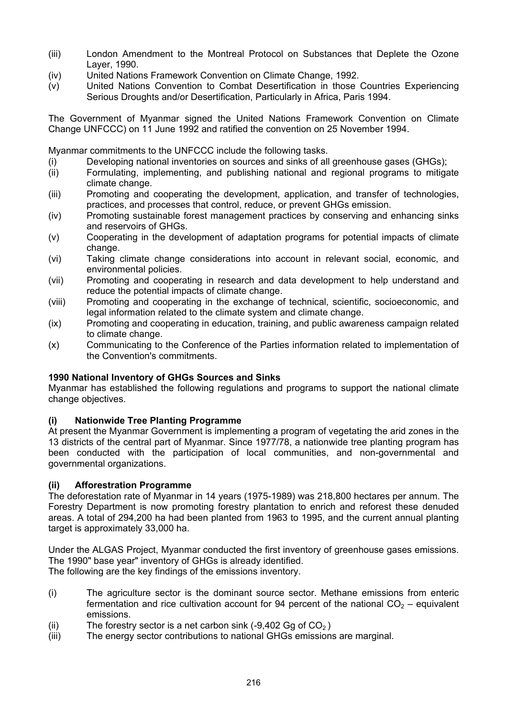- (iii) London Amendment to the Montreal Protocol on Substances that Deplete the Ozone Layer, 1990.
- (iv) United Nations Framework Convention on Climate Change, 1992.
- (v) United Nations Convention to Combat Desertification in those Countries Experiencing Serious Droughts and/or Desertification, Particularly in Africa, Paris 1994.

The Government of Myanmar signed the United Nations Framework Convention on Climate Change UNFCCC) on 11 June 1992 and ratified the convention on 25 November 1994.

Myanmar commitments to the UNFCCC include the following tasks.

- (i) Developing national inventories on sources and sinks of all greenhouse gases (GHGs);
- (ii) Formulating, implementing, and publishing national and regional programs to mitigate climate change.
- (iii) Promoting and cooperating the development, application, and transfer of technologies, practices, and processes that control, reduce, or prevent GHGs emission.
- (iv) Promoting sustainable forest management practices by conserving and enhancing sinks and reservoirs of GHGs.
- (v) Cooperating in the development of adaptation programs for potential impacts of climate change.
- (vi) Taking climate change considerations into account in relevant social, economic, and environmental policies.
- (vii) Promoting and cooperating in research and data development to help understand and reduce the potential impacts of climate change.
- (viii) Promoting and cooperating in the exchange of technical, scientific, socioeconomic, and legal information related to the climate system and climate change.
- (ix) Promoting and cooperating in education, training, and public awareness campaign related to climate change.
- (x) Communicating to the Conference of the Parties information related to implementation of the Convention's commitments.

## **1990 National Inventory of GHGs Sources and Sinks**

Myanmar has established the following regulations and programs to support the national climate change objectives.

## **(i) Nationwide Tree Planting Programme**

At present the Myanmar Government is implementing a program of vegetating the arid zones in the 13 districts of the central part of Myanmar. Since 1977/78, a nationwide tree planting program has been conducted with the participation of local communities, and non-governmental and governmental organizations.

## **(ii) Afforestration Programme**

The deforestation rate of Myanmar in 14 years (1975-1989) was 218,800 hectares per annum. The Forestry Department is now promoting forestry plantation to enrich and reforest these denuded areas. A total of 294,200 ha had been planted from 1963 to 1995, and the current annual planting target is approximately 33,000 ha.

Under the ALGAS Project, Myanmar conducted the first inventory of greenhouse gases emissions. The 1990" base year" inventory of GHGs is already identified.

The following are the key findings of the emissions inventory.

- (i) The agriculture sector is the dominant source sector. Methane emissions from enteric fermentation and rice cultivation account for 94 percent of the national  $CO<sub>2</sub>$  – equivalent emissions.
- (ii) The forestry sector is a net carbon sink  $(-9,402 \text{ Gg of } CO<sub>2</sub>)$
- (iii) The energy sector contributions to national GHGs emissions are marginal.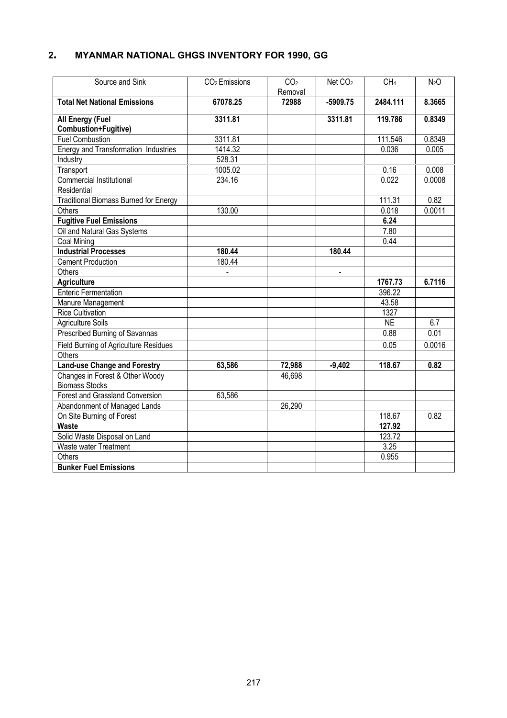# **2. MYANMAR NATIONAL GHGS INVENTORY FOR 1990, GG**

| Source and Sink                              | CO <sub>2</sub> Emissions | CO <sub>2</sub> | Net CO <sub>2</sub>      | CH <sub>4</sub> | N <sub>2</sub> O |
|----------------------------------------------|---------------------------|-----------------|--------------------------|-----------------|------------------|
|                                              |                           | Removal         |                          |                 |                  |
| <b>Total Net National Emissions</b>          | 67078.25                  | 72988           | $-5909.75$               | 2484.111        | 8.3665           |
| All Energy (Fuel                             | 3311.81                   |                 | 3311.81                  | 119.786         | 0.8349           |
| Combustion+Fugitive)                         |                           |                 |                          |                 |                  |
| <b>Fuel Combustion</b>                       | 3311.81                   |                 |                          | 111.546         | 0.8349           |
| Energy and Transformation Industries         | 1414.32                   |                 |                          | 0.036           | 0.005            |
| Industry                                     | 528.31                    |                 |                          |                 |                  |
| Transport                                    | 1005.02                   |                 |                          | 0.16            | 0.008            |
| <b>Commercial Institutional</b>              | 234.16                    |                 |                          | 0.022           | 0.0008           |
| Residential                                  |                           |                 |                          |                 |                  |
| <b>Traditional Biomass Burned for Energy</b> |                           |                 |                          | 111.31          | 0.82             |
| Others                                       | 130.00                    |                 |                          | 0.018           | 0.0011           |
| <b>Fugitive Fuel Emissions</b>               |                           |                 |                          | 6.24            |                  |
| Oil and Natural Gas Systems                  |                           |                 |                          | 7.80            |                  |
| Coal Mining                                  |                           |                 |                          | 0.44            |                  |
| <b>Industrial Processes</b>                  | 180.44                    |                 | 180.44                   |                 |                  |
| <b>Cement Production</b>                     | 180.44                    |                 |                          |                 |                  |
| Others                                       |                           |                 | $\overline{\phantom{a}}$ |                 |                  |
| <b>Agriculture</b>                           |                           |                 |                          | 1767.73         | 6.7116           |
| <b>Enteric Fermentation</b>                  |                           |                 |                          | 396.22          |                  |
| Manure Management                            |                           |                 |                          | 43.58           |                  |
| <b>Rice Cultivation</b>                      |                           |                 |                          | 1327            |                  |
| <b>Agriculture Soils</b>                     |                           |                 |                          | <b>NE</b>       | 6.7              |
| Prescribed Burning of Savannas               |                           |                 |                          | 0.88            | 0.01             |
| <b>Field Burning of Agriculture Residues</b> |                           |                 |                          | 0.05            | 0.0016           |
| Others                                       |                           |                 |                          |                 |                  |
| Land-use Change and Forestry                 | 63,586                    | 72,988          | $-9,402$                 | 118.67          | 0.82             |
| Changes in Forest & Other Woody              |                           | 46,698          |                          |                 |                  |
| <b>Biomass Stocks</b>                        |                           |                 |                          |                 |                  |
| Forest and Grassland Conversion              | 63,586                    |                 |                          |                 |                  |
| Abandonment of Managed Lands                 |                           | 26,290          |                          |                 |                  |
| On Site Burning of Forest                    |                           |                 |                          | 118.67          | 0.82             |
| <b>Waste</b>                                 |                           |                 |                          | 127.92          |                  |
| Solid Waste Disposal on Land                 |                           |                 |                          | 123.72          |                  |
| Waste water Treatment                        |                           |                 |                          | 3.25            |                  |
| Others                                       |                           |                 |                          | 0.955           |                  |
| <b>Bunker Fuel Emissions</b>                 |                           |                 |                          |                 |                  |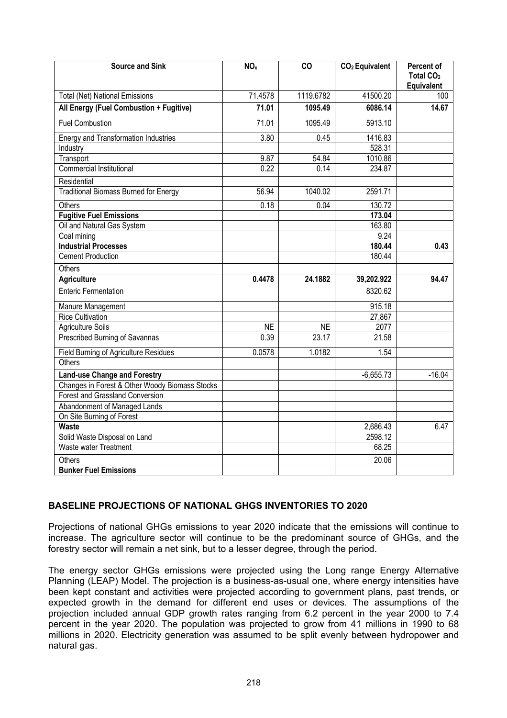| <b>Source and Sink</b>                         | NO <sub>x</sub> | CO                 | CO <sub>2</sub> Equivalent | Percent of<br>Total CO <sub>2</sub><br>Equivalent |
|------------------------------------------------|-----------------|--------------------|----------------------------|---------------------------------------------------|
| <b>Total (Net) National Emissions</b>          | 71.4578         | 1119.6782          | 41500.20                   | 100                                               |
| All Energy (Fuel Combustion + Fugitive)        | 71.01           | 1095.49            | 6086.14                    | 14.67                                             |
| <b>Fuel Combustion</b>                         | 71.01           | 1095.49            | 5913.10                    |                                                   |
| <b>Energy and Transformation Industries</b>    | 3.80            | 0.45               | 1416.83                    |                                                   |
| Industry                                       |                 |                    | 528.31                     |                                                   |
| Transport                                      | 9.87            | 54.84              | 1010.86                    |                                                   |
| Commercial Institutional                       | 0.22            | 0.14               | 234.87                     |                                                   |
| Residential                                    |                 |                    |                            |                                                   |
| <b>Traditional Biomass Burned for Energy</b>   | 56.94           | 1040.02            | 2591.71                    |                                                   |
| Others                                         | 0.18            | 0.04               | 130.72                     |                                                   |
| <b>Fugitive Fuel Emissions</b>                 |                 |                    | 173.04                     |                                                   |
| Oil and Natural Gas System                     |                 |                    | 163.80                     |                                                   |
| Coal mining                                    |                 |                    | 9.24                       |                                                   |
| <b>Industrial Processes</b>                    |                 |                    | 180.44                     | 0.43                                              |
| <b>Cement Production</b>                       |                 |                    | 180.44                     |                                                   |
| Others                                         |                 |                    |                            |                                                   |
| <b>Agriculture</b>                             | 0.4478          | 24.1882            | 39,202.922                 | 94.47                                             |
| <b>Enteric Fermentation</b>                    |                 |                    | 8320.62                    |                                                   |
| Manure Management                              |                 |                    | 915.18                     |                                                   |
| <b>Rice Cultivation</b>                        |                 |                    | 27,867                     |                                                   |
| <b>Agriculture Soils</b>                       | <b>NE</b>       | <b>NE</b>          | 2077                       |                                                   |
| Prescribed Burning of Savannas                 | 0.39            | $\overline{2}3.17$ | 21.58                      |                                                   |
| <b>Field Burning of Agriculture Residues</b>   | 0.0578          | 1.0182             | 1.54                       |                                                   |
| Others                                         |                 |                    |                            |                                                   |
| <b>Land-use Change and Forestry</b>            |                 |                    | $-6,655.73$                | $-16.04$                                          |
| Changes in Forest & Other Woody Biomass Stocks |                 |                    |                            |                                                   |
| Forest and Grassland Conversion                |                 |                    |                            |                                                   |
| Abandonment of Managed Lands                   |                 |                    |                            |                                                   |
| On Site Burning of Forest                      |                 |                    |                            |                                                   |
| Waste                                          |                 |                    | 2,686.43                   | 6.47                                              |
| Solid Waste Disposal on Land                   |                 |                    | 2598.12                    |                                                   |
| Waste water Treatment                          |                 |                    | 68.25                      |                                                   |
| Others                                         |                 |                    | 20.06                      |                                                   |
| <b>Bunker Fuel Emissions</b>                   |                 |                    |                            |                                                   |

# **BASELINE PROJECTIONS OF NATIONAL GHGS INVENTORIES TO 2020**

Projections of national GHGs emissions to year 2020 indicate that the emissions will continue to increase. The agriculture sector will continue to be the predominant source of GHGs, and the forestry sector will remain a net sink, but to a lesser degree, through the period.

The energy sector GHGs emissions were projected using the Long range Energy Alternative Planning (LEAP) Model. The projection is a business-as-usual one, where energy intensities have been kept constant and activities were projected according to government plans, past trends, or expected growth in the demand for different end uses or devices. The assumptions of the projection included annual GDP growth rates ranging from 6.2 percent in the year 2000 to 7.4 percent in the year 2020. The population was projected to grow from 41 millions in 1990 to 68 millions in 2020. Electricity generation was assumed to be split evenly between hydropower and natural gas.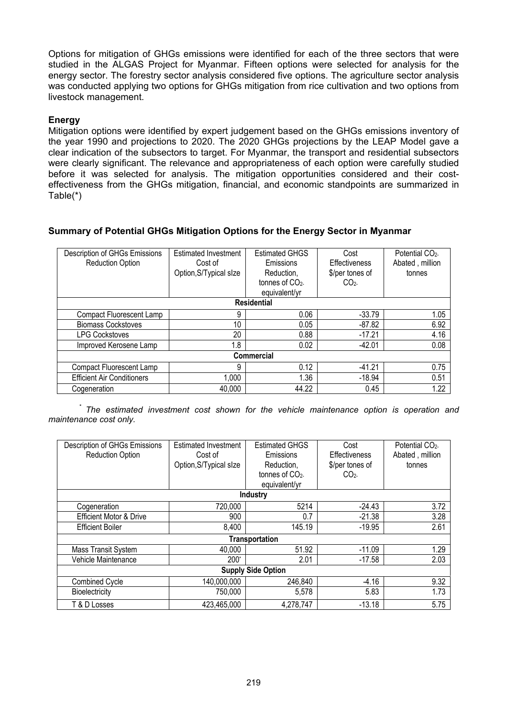Options for mitigation of GHGs emissions were identified for each of the three sectors that were studied in the ALGAS Project for Myanmar. Fifteen options were selected for analysis for the energy sector. The forestry sector analysis considered five options. The agriculture sector analysis was conducted applying two options for GHGs mitigation from rice cultivation and two options from livestock management.

# **Energy**

Mitigation options were identified by expert judgement based on the GHGs emissions inventory of the year 1990 and projections to 2020. The 2020 GHGs projections by the LEAP Model gave a clear indication of the subsectors to target. For Myanmar, the transport and residential subsectors were clearly significant. The relevance and appropriateness of each option were carefully studied before it was selected for analysis. The mitigation opportunities considered and their costeffectiveness from the GHGs mitigation, financial, and economic standpoints are summarized in Table(\*)

# **Summary of Potential GHGs Mitigation Options for the Energy Sector in Myanmar**

| Description of GHGs Emissions<br><b>Reduction Option</b> | <b>Estimated Investment</b><br>Cost of<br>Option, S/Typical slze | <b>Estimated GHGS</b><br>Emissions<br>Reduction,<br>tonnes of $CO2$<br>equivalent/yr | Cost<br>Effectiveness<br>\$/per tones of<br>CO <sub>2</sub> | Potential CO <sub>2</sub><br>Abated, million<br>tonnes |
|----------------------------------------------------------|------------------------------------------------------------------|--------------------------------------------------------------------------------------|-------------------------------------------------------------|--------------------------------------------------------|
|                                                          |                                                                  | <b>Residential</b>                                                                   |                                                             |                                                        |
| Compact Fluorescent Lamp                                 | 9                                                                | 0.06                                                                                 | $-33.79$                                                    | 1.05                                                   |
| <b>Biomass Cockstoves</b>                                | 10                                                               | 0.05                                                                                 | $-87.82$                                                    | 6.92                                                   |
| <b>LPG Cockstoves</b>                                    | 20                                                               | 0.88                                                                                 | $-17.21$                                                    | 4.16                                                   |
| Improved Kerosene Lamp                                   | 1.8                                                              | 0.02                                                                                 | $-42.01$                                                    | 0.08                                                   |
|                                                          |                                                                  | <b>Commercial</b>                                                                    |                                                             |                                                        |
| <b>Compact Fluorescent Lamp</b>                          | 9                                                                | 0.12                                                                                 | $-41.21$                                                    | 0.75                                                   |
| <b>Efficient Air Conditioners</b>                        | 1,000                                                            | 1.36                                                                                 | $-18.94$                                                    | 0.51                                                   |
| Cogeneration                                             | 40,000                                                           | 44.22                                                                                | 0.45                                                        | 1.22                                                   |

*\* The estimated investment cost shown for the vehicle maintenance option is operation and maintenance cost only.* 

| Description of GHGs Emissions<br><b>Reduction Option</b> | <b>Estimated Investment</b><br>Cost of<br>Option, S/Typical slze | <b>Estimated GHGS</b><br>Emissions<br>Reduction,<br>tonnes of $CO2$<br>equivalent/yr | Cost<br>Effectiveness<br>\$/per tones of<br>CO <sub>2</sub> | Potential CO <sub>2</sub><br>Abated, million<br>tonnes |  |  |  |
|----------------------------------------------------------|------------------------------------------------------------------|--------------------------------------------------------------------------------------|-------------------------------------------------------------|--------------------------------------------------------|--|--|--|
|                                                          |                                                                  | Industry                                                                             |                                                             |                                                        |  |  |  |
| Cogeneration                                             | 720,000                                                          | 5214                                                                                 | $-24.43$                                                    | 3.72                                                   |  |  |  |
| <b>Efficient Motor &amp; Drive</b>                       | 900                                                              | 0.7                                                                                  | $-21.38$                                                    | 3.28                                                   |  |  |  |
| <b>Efficient Boiler</b>                                  | 8,400                                                            | 145.19                                                                               | $-19.95$                                                    | 2.61                                                   |  |  |  |
|                                                          | <b>Transportation</b>                                            |                                                                                      |                                                             |                                                        |  |  |  |
| Mass Transit System                                      | 40.000                                                           | 51.92                                                                                | $-11.09$                                                    | 1.29                                                   |  |  |  |
| Vehicle Maintenance                                      | $200*$                                                           | 2.01                                                                                 | $-17.58$                                                    | 2.03                                                   |  |  |  |
| <b>Supply Side Option</b>                                |                                                                  |                                                                                      |                                                             |                                                        |  |  |  |
| <b>Combined Cycle</b>                                    | 140,000,000                                                      | 246,840                                                                              | $-4.16$                                                     | 9.32                                                   |  |  |  |
| Bioelectricity                                           | 750,000                                                          | 5,578                                                                                | 5.83                                                        | 1.73                                                   |  |  |  |
| T & D Losses                                             | 423,465,000                                                      | 4,278,747                                                                            | $-13.18$                                                    | 5.75                                                   |  |  |  |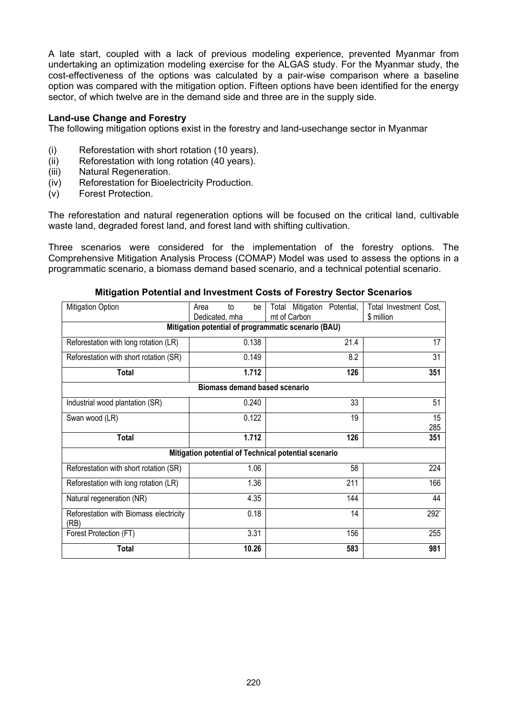A late start, coupled with a lack of previous modeling experience, prevented Myanmar from undertaking an optimization modeling exercise for the ALGAS study. For the Myanmar study, the cost-effectiveness of the options was calculated by a pair-wise comparison where a baseline option was compared with the mitigation option. Fifteen options have been identified for the energy sector, of which twelve are in the demand side and three are in the supply side.

## **Land-use Change and Forestry**

The following mitigation options exist in the forestry and land-usechange sector in Myanmar

- (i) Reforestation with short rotation (10 years).
- (ii) Reforestation with long rotation (40 years).
- (iii) Natural Regeneration.
- (iv) Reforestation for Bioelectricity Production.
- (v) Forest Protection.

The reforestation and natural regeneration options will be focused on the critical land, cultivable waste land, degraded forest land, and forest land with shifting cultivation.

Three scenarios were considered for the implementation of the forestry options. The Comprehensive Mitigation Analysis Process (COMAP) Model was used to assess the options in a programmatic scenario, a biomass demand based scenario, and a technical potential scenario.

| Mitigation Option                                   | Area<br>to<br>Dedicated, mha                         | be    | mt of Carbon | Total Mitigation | Potential, | Total Investment Cost,<br>\$ million |  |
|-----------------------------------------------------|------------------------------------------------------|-------|--------------|------------------|------------|--------------------------------------|--|
| Mitigation potential of programmatic scenario (BAU) |                                                      |       |              |                  |            |                                      |  |
| Reforestation with long rotation (LR)               |                                                      | 0.138 |              |                  | 21.4       | 17                                   |  |
| Reforestation with short rotation (SR)              |                                                      | 0.149 |              |                  | 8.2        | 31                                   |  |
| <b>Total</b>                                        |                                                      | 1.712 |              |                  | 126        | 351                                  |  |
|                                                     | <b>Biomass demand based scenario</b>                 |       |              |                  |            |                                      |  |
| Industrial wood plantation (SR)                     |                                                      | 0.240 |              |                  | 33         | 51                                   |  |
| Swan wood (LR)                                      |                                                      | 0.122 |              |                  | 19         | 15<br>285                            |  |
| <b>Total</b>                                        |                                                      | 1.712 |              |                  | 126        | 351                                  |  |
|                                                     | Mitigation potential of Technical potential scenario |       |              |                  |            |                                      |  |
| Reforestation with short rotation (SR)              |                                                      | 1.06  |              |                  | 58         | 224                                  |  |
| Reforestation with long rotation (LR)               |                                                      | 1.36  |              |                  | 211        | 166                                  |  |
| Natural regeneration (NR)                           |                                                      | 4.35  |              |                  | 144        | 44                                   |  |
| Reforestation with Biomass electricity<br>(RB)      |                                                      | 0.18  |              |                  | 14         | 292*                                 |  |
| Forest Protection (FT)                              |                                                      | 3.31  |              |                  | 156        | 255                                  |  |
| <b>Total</b>                                        |                                                      | 10.26 |              |                  | 583        | 981                                  |  |

#### **Mitigation Potential and Investment Costs of Forestry Sector Scenarios**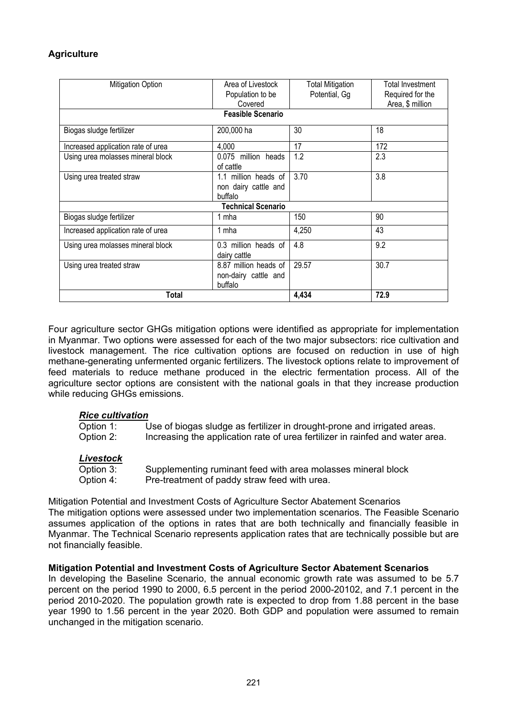# **Agriculture**

| <b>Mitigation Option</b>           | Area of Livestock         | <b>Total Mitigation</b> | Total Investment |
|------------------------------------|---------------------------|-------------------------|------------------|
|                                    | Population to be          | Potential, Gg           | Required for the |
|                                    | Covered                   |                         | Area, \$ million |
|                                    | <b>Feasible Scenario</b>  |                         |                  |
| Biogas sludge fertilizer           | 200,000 ha                | 30                      | 18               |
| Increased application rate of urea | 4,000                     | 17                      | 172              |
| Using urea molasses mineral block  | 0.075 million heads       | 1.2                     | 2.3              |
|                                    | of cattle                 |                         |                  |
| Using urea treated straw           | 1.1 million heads of      | 3.70                    | 3.8              |
|                                    | non dairy cattle and      |                         |                  |
|                                    | buffalo                   |                         |                  |
|                                    | <b>Technical Scenario</b> |                         |                  |
| Biogas sludge fertilizer           | 1 mha                     | 150                     | 90               |
| Increased application rate of urea | 1 mha                     | 4,250                   | 43               |
| Using urea molasses mineral block  | 0.3 million heads of      | 4.8                     | 9.2              |
|                                    | dairy cattle              |                         |                  |
| Using urea treated straw           | 8.87 million heads of     | 29.57                   | 30.7             |
|                                    | non-dairy cattle and      |                         |                  |
|                                    | buffalo                   |                         |                  |
| Total                              | 4,434                     | 72.9                    |                  |

Four agriculture sector GHGs mitigation options were identified as appropriate for implementation in Myanmar. Two options were assessed for each of the two major subsectors: rice cultivation and livestock management. The rice cultivation options are focused on reduction in use of high methane-generating unfermented organic fertilizers. The livestock options relate to improvement of feed materials to reduce methane produced in the electric fermentation process. All of the agriculture sector options are consistent with the national goals in that they increase production while reducing GHGs emissions.

## *Rice cultivation*

| Option 1: | Use of biogas sludge as fertilizer in drought-prone and irrigated areas.      |
|-----------|-------------------------------------------------------------------------------|
| Option 2: | Increasing the application rate of urea fertilizer in rainfed and water area. |
|           |                                                                               |

## *Livestock*

| Option 3: | Supplementing ruminant feed with area molasses mineral block |
|-----------|--------------------------------------------------------------|
| Option 4: | Pre-treatment of paddy straw feed with urea.                 |

Mitigation Potential and Investment Costs of Agriculture Sector Abatement Scenarios The mitigation options were assessed under two implementation scenarios. The Feasible Scenario assumes application of the options in rates that are both technically and financially feasible in Myanmar. The Technical Scenario represents application rates that are technically possible but are not financially feasible.

#### **Mitigation Potential and Investment Costs of Agriculture Sector Abatement Scenarios**

In developing the Baseline Scenario, the annual economic growth rate was assumed to be 5.7 percent on the period 1990 to 2000, 6.5 percent in the period 2000-20102, and 7.1 percent in the period 2010-2020. The population growth rate is expected to drop from 1.88 percent in the base year 1990 to 1.56 percent in the year 2020. Both GDP and population were assumed to remain unchanged in the mitigation scenario.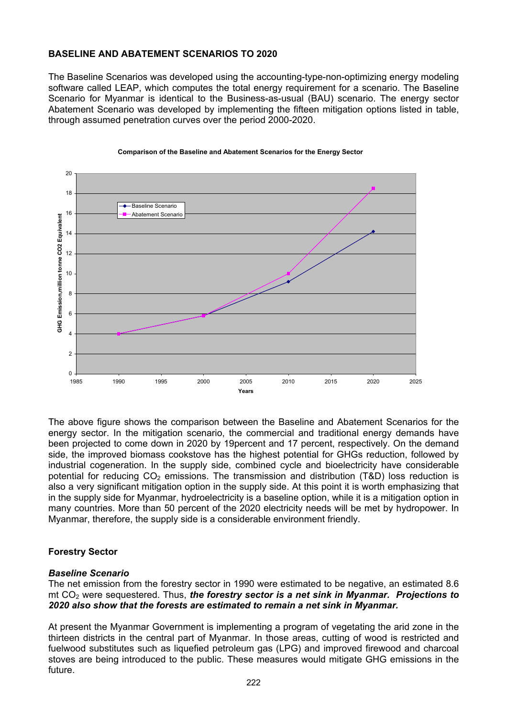# **BASELINE AND ABATEMENT SCENARIOS TO 2020**

The Baseline Scenarios was developed using the accounting-type-non-optimizing energy modeling software called LEAP, which computes the total energy requirement for a scenario. The Baseline Scenario for Myanmar is identical to the Business-as-usual (BAU) scenario. The energy sector Abatement Scenario was developed by implementing the fifteen mitigation options listed in table, through assumed penetration curves over the period 2000-2020.



#### **Comparison of the Baseline and Abatement Scenarios for the Energy Sector**

The above figure shows the comparison between the Baseline and Abatement Scenarios for the energy sector. In the mitigation scenario, the commercial and traditional energy demands have been projected to come down in 2020 by 19percent and 17 percent, respectively. On the demand side, the improved biomass cookstove has the highest potential for GHGs reduction, followed by industrial cogeneration. In the supply side, combined cycle and bioelectricity have considerable potential for reducing  $CO<sub>2</sub>$  emissions. The transmission and distribution (T&D) loss reduction is also a very significant mitigation option in the supply side. At this point it is worth emphasizing that in the supply side for Myanmar, hydroelectricity is a baseline option, while it is a mitigation option in many countries. More than 50 percent of the 2020 electricity needs will be met by hydropower. In Myanmar, therefore, the supply side is a considerable environment friendly.

## **Forestry Sector**

## *Baseline Scenario*

The net emission from the forestry sector in 1990 were estimated to be negative, an estimated 8.6 mt CO<sub>2</sub> were sequestered. Thus, *the forestry sector is a net sink in Myanmar. Projections to 2020 also show that the forests are estimated to remain a net sink in Myanmar.* 

At present the Myanmar Government is implementing a program of vegetating the arid zone in the thirteen districts in the central part of Myanmar. In those areas, cutting of wood is restricted and fuelwood substitutes such as liquefied petroleum gas (LPG) and improved firewood and charcoal stoves are being introduced to the public. These measures would mitigate GHG emissions in the future.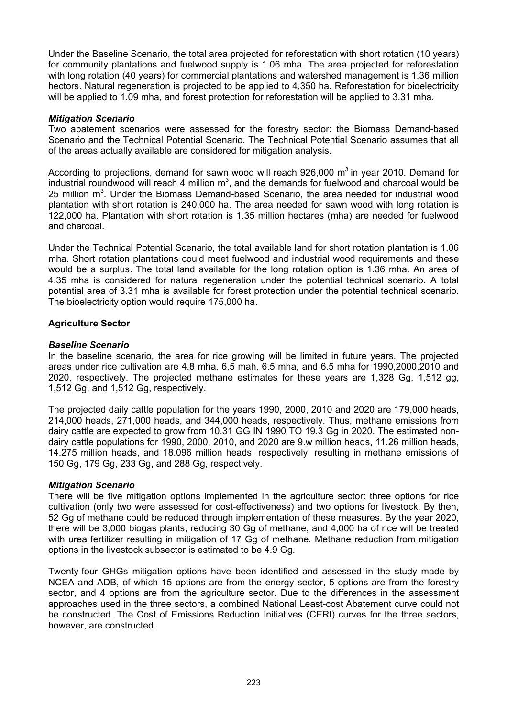Under the Baseline Scenario, the total area projected for reforestation with short rotation (10 years) for community plantations and fuelwood supply is 1.06 mha. The area projected for reforestation with long rotation (40 years) for commercial plantations and watershed management is 1.36 million hectors. Natural regeneration is projected to be applied to 4,350 ha. Reforestation for bioelectricity will be applied to 1.09 mha, and forest protection for reforestation will be applied to 3.31 mha.

#### *Mitigation Scenario*

Two abatement scenarios were assessed for the forestry sector: the Biomass Demand-based Scenario and the Technical Potential Scenario. The Technical Potential Scenario assumes that all of the areas actually available are considered for mitigation analysis.

According to projections, demand for sawn wood will reach 926,000  $m^3$  in year 2010. Demand for industrial roundwood will reach 4 million  $m^3$ , and the demands for fuelwood and charcoal would be 25 million  $m<sup>3</sup>$ . Under the Biomass Demand-based Scenario, the area needed for industrial wood plantation with short rotation is 240,000 ha. The area needed for sawn wood with long rotation is 122,000 ha. Plantation with short rotation is 1.35 million hectares (mha) are needed for fuelwood and charcoal.

Under the Technical Potential Scenario, the total available land for short rotation plantation is 1.06 mha. Short rotation plantations could meet fuelwood and industrial wood requirements and these would be a surplus. The total land available for the long rotation option is 1.36 mha. An area of 4.35 mha is considered for natural regeneration under the potential technical scenario. A total potential area of 3.31 mha is available for forest protection under the potential technical scenario. The bioelectricity option would require 175,000 ha.

## **Agriculture Sector**

## *Baseline Scenario*

In the baseline scenario, the area for rice growing will be limited in future years. The projected areas under rice cultivation are 4.8 mha, 6,5 mah, 6.5 mha, and 6.5 mha for 1990,2000,2010 and 2020, respectively. The projected methane estimates for these years are 1,328 Gg, 1,512 gg, 1,512 Gg, and 1,512 Gg, respectively.

The projected daily cattle population for the years 1990, 2000, 2010 and 2020 are 179,000 heads, 214,000 heads, 271,000 heads, and 344,000 heads, respectively. Thus, methane emissions from dairy cattle are expected to grow from 10.31 GG IN 1990 TO 19.3 Gg in 2020. The estimated nondairy cattle populations for 1990, 2000, 2010, and 2020 are 9.w million heads, 11.26 million heads, 14.275 million heads, and 18.096 million heads, respectively, resulting in methane emissions of 150 Gg, 179 Gg, 233 Gg, and 288 Gg, respectively.

## *Mitigation Scenario*

There will be five mitigation options implemented in the agriculture sector: three options for rice cultivation (only two were assessed for cost-effectiveness) and two options for livestock. By then, 52 Gg of methane could be reduced through implementation of these measures. By the year 2020, there will be 3,000 biogas plants, reducing 30 Gg of methane, and 4,000 ha of rice will be treated with urea fertilizer resulting in mitigation of 17 Gg of methane. Methane reduction from mitigation options in the livestock subsector is estimated to be 4.9 Gg.

Twenty-four GHGs mitigation options have been identified and assessed in the study made by NCEA and ADB, of which 15 options are from the energy sector, 5 options are from the forestry sector, and 4 options are from the agriculture sector. Due to the differences in the assessment approaches used in the three sectors, a combined National Least-cost Abatement curve could not be constructed. The Cost of Emissions Reduction Initiatives (CERI) curves for the three sectors, however, are constructed.